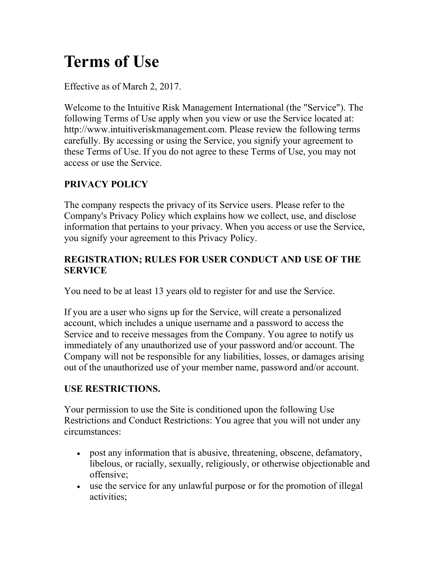# **Terms of Use**

Effective as of March 2, 2017.

Welcome to the Intuitive Risk Management International (the "Service"). The following Terms of Use apply when you view or use the Service located at: http://www.intuitiveriskmanagement.com. Please review the following terms carefully. By accessing or using the Service, you signify your agreement to these Terms of Use. If you do not agree to these Terms of Use, you may not access or use the Service.

# **PRIVACY POLICY**

The company respects the privacy of its Service users. Please refer to the Company's Privacy Policy which explains how we collect, use, and disclose information that pertains to your privacy. When you access or use the Service, you signify your agreement to this Privacy Policy.

### **REGISTRATION; RULES FOR USER CONDUCT AND USE OF THE SERVICE**

You need to be at least 13 years old to register for and use the Service.

If you are a user who signs up for the Service, will create a personalized account, which includes a unique username and a password to access the Service and to receive messages from the Company. You agree to notify us immediately of any unauthorized use of your password and/or account. The Company will not be responsible for any liabilities, losses, or damages arising out of the unauthorized use of your member name, password and/or account.

### **USE RESTRICTIONS.**

Your permission to use the Site is conditioned upon the following Use Restrictions and Conduct Restrictions: You agree that you will not under any circumstances:

- post any information that is abusive, threatening, obscene, defamatory, libelous, or racially, sexually, religiously, or otherwise objectionable and offensive;
- use the service for any unlawful purpose or for the promotion of illegal activities;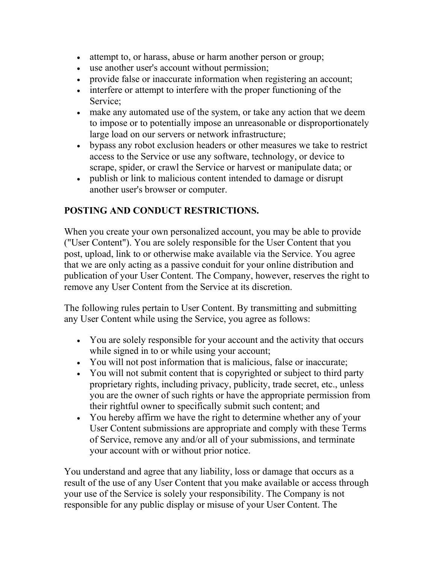- attempt to, or harass, abuse or harm another person or group;
- use another user's account without permission;
- provide false or inaccurate information when registering an account;
- interfere or attempt to interfere with the proper functioning of the Service;
- make any automated use of the system, or take any action that we deem to impose or to potentially impose an unreasonable or disproportionately large load on our servers or network infrastructure;
- bypass any robot exclusion headers or other measures we take to restrict access to the Service or use any software, technology, or device to scrape, spider, or crawl the Service or harvest or manipulate data; or
- publish or link to malicious content intended to damage or disrupt another user's browser or computer.

### **POSTING AND CONDUCT RESTRICTIONS.**

When you create your own personalized account, you may be able to provide ("User Content"). You are solely responsible for the User Content that you post, upload, link to or otherwise make available via the Service. You agree that we are only acting as a passive conduit for your online distribution and publication of your User Content. The Company, however, reserves the right to remove any User Content from the Service at its discretion.

The following rules pertain to User Content. By transmitting and submitting any User Content while using the Service, you agree as follows:

- You are solely responsible for your account and the activity that occurs while signed in to or while using your account;
- You will not post information that is malicious, false or inaccurate;
- You will not submit content that is copyrighted or subject to third party proprietary rights, including privacy, publicity, trade secret, etc., unless you are the owner of such rights or have the appropriate permission from their rightful owner to specifically submit such content; and
- You hereby affirm we have the right to determine whether any of your User Content submissions are appropriate and comply with these Terms of Service, remove any and/or all of your submissions, and terminate your account with or without prior notice.

You understand and agree that any liability, loss or damage that occurs as a result of the use of any User Content that you make available or access through your use of the Service is solely your responsibility. The Company is not responsible for any public display or misuse of your User Content. The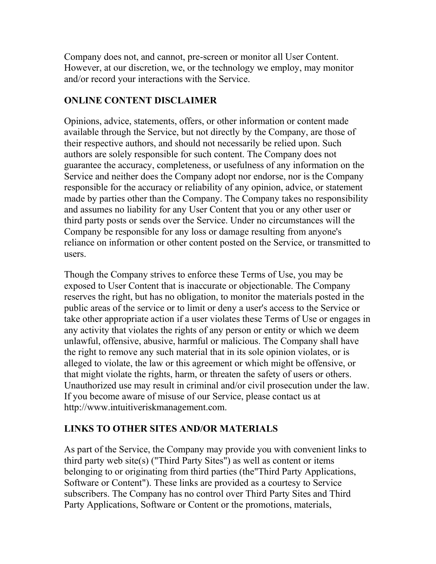Company does not, and cannot, pre-screen or monitor all User Content. However, at our discretion, we, or the technology we employ, may monitor and/or record your interactions with the Service.

### **ONLINE CONTENT DISCLAIMER**

Opinions, advice, statements, offers, or other information or content made available through the Service, but not directly by the Company, are those of their respective authors, and should not necessarily be relied upon. Such authors are solely responsible for such content. The Company does not guarantee the accuracy, completeness, or usefulness of any information on the Service and neither does the Company adopt nor endorse, nor is the Company responsible for the accuracy or reliability of any opinion, advice, or statement made by parties other than the Company. The Company takes no responsibility and assumes no liability for any User Content that you or any other user or third party posts or sends over the Service. Under no circumstances will the Company be responsible for any loss or damage resulting from anyone's reliance on information or other content posted on the Service, or transmitted to users.

Though the Company strives to enforce these Terms of Use, you may be exposed to User Content that is inaccurate or objectionable. The Company reserves the right, but has no obligation, to monitor the materials posted in the public areas of the service or to limit or deny a user's access to the Service or take other appropriate action if a user violates these Terms of Use or engages in any activity that violates the rights of any person or entity or which we deem unlawful, offensive, abusive, harmful or malicious. The Company shall have the right to remove any such material that in its sole opinion violates, or is alleged to violate, the law or this agreement or which might be offensive, or that might violate the rights, harm, or threaten the safety of users or others. Unauthorized use may result in criminal and/or civil prosecution under the law. If you become aware of misuse of our Service, please contact us at http://www.intuitiveriskmanagement.com.

### **LINKS TO OTHER SITES AND/OR MATERIALS**

As part of the Service, the Company may provide you with convenient links to third party web site(s) ("Third Party Sites") as well as content or items belonging to or originating from third parties (the"Third Party Applications, Software or Content"). These links are provided as a courtesy to Service subscribers. The Company has no control over Third Party Sites and Third Party Applications, Software or Content or the promotions, materials,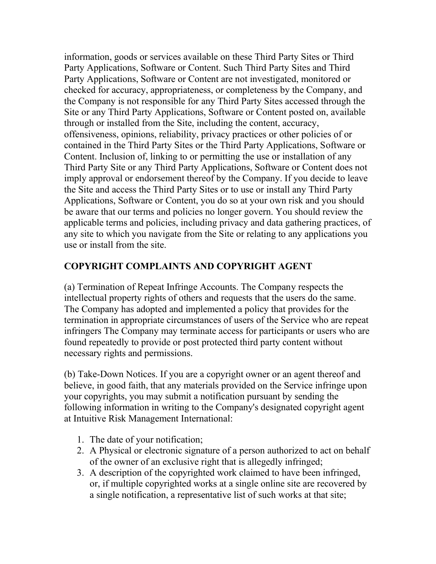information, goods or services available on these Third Party Sites or Third Party Applications, Software or Content. Such Third Party Sites and Third Party Applications, Software or Content are not investigated, monitored or checked for accuracy, appropriateness, or completeness by the Company, and the Company is not responsible for any Third Party Sites accessed through the Site or any Third Party Applications, Software or Content posted on, available through or installed from the Site, including the content, accuracy, offensiveness, opinions, reliability, privacy practices or other policies of or contained in the Third Party Sites or the Third Party Applications, Software or Content. Inclusion of, linking to or permitting the use or installation of any Third Party Site or any Third Party Applications, Software or Content does not imply approval or endorsement thereof by the Company. If you decide to leave the Site and access the Third Party Sites or to use or install any Third Party Applications, Software or Content, you do so at your own risk and you should be aware that our terms and policies no longer govern. You should review the applicable terms and policies, including privacy and data gathering practices, of any site to which you navigate from the Site or relating to any applications you use or install from the site.

#### **COPYRIGHT COMPLAINTS AND COPYRIGHT AGENT**

(a) Termination of Repeat Infringe Accounts. The Company respects the intellectual property rights of others and requests that the users do the same. The Company has adopted and implemented a policy that provides for the termination in appropriate circumstances of users of the Service who are repeat infringers The Company may terminate access for participants or users who are found repeatedly to provide or post protected third party content without necessary rights and permissions.

(b) Take-Down Notices. If you are a copyright owner or an agent thereof and believe, in good faith, that any materials provided on the Service infringe upon your copyrights, you may submit a notification pursuant by sending the following information in writing to the Company's designated copyright agent at Intuitive Risk Management International:

- 1. The date of your notification;
- 2. A Physical or electronic signature of a person authorized to act on behalf of the owner of an exclusive right that is allegedly infringed;
- 3. A description of the copyrighted work claimed to have been infringed, or, if multiple copyrighted works at a single online site are recovered by a single notification, a representative list of such works at that site;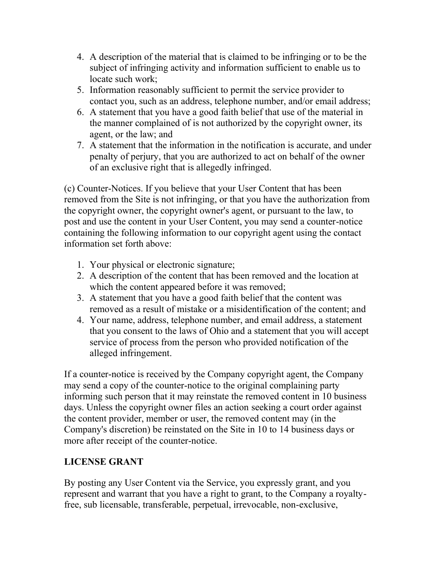- 4. A description of the material that is claimed to be infringing or to be the subject of infringing activity and information sufficient to enable us to locate such work;
- 5. Information reasonably sufficient to permit the service provider to contact you, such as an address, telephone number, and/or email address;
- 6. A statement that you have a good faith belief that use of the material in the manner complained of is not authorized by the copyright owner, its agent, or the law; and
- 7. A statement that the information in the notification is accurate, and under penalty of perjury, that you are authorized to act on behalf of the owner of an exclusive right that is allegedly infringed.

(c) Counter-Notices. If you believe that your User Content that has been removed from the Site is not infringing, or that you have the authorization from the copyright owner, the copyright owner's agent, or pursuant to the law, to post and use the content in your User Content, you may send a counter-notice containing the following information to our copyright agent using the contact information set forth above:

- 1. Your physical or electronic signature;
- 2. A description of the content that has been removed and the location at which the content appeared before it was removed;
- 3. A statement that you have a good faith belief that the content was removed as a result of mistake or a misidentification of the content; and
- 4. Your name, address, telephone number, and email address, a statement that you consent to the laws of Ohio and a statement that you will accept service of process from the person who provided notification of the alleged infringement.

If a counter-notice is received by the Company copyright agent, the Company may send a copy of the counter-notice to the original complaining party informing such person that it may reinstate the removed content in 10 business days. Unless the copyright owner files an action seeking a court order against the content provider, member or user, the removed content may (in the Company's discretion) be reinstated on the Site in 10 to 14 business days or more after receipt of the counter-notice.

### **LICENSE GRANT**

By posting any User Content via the Service, you expressly grant, and you represent and warrant that you have a right to grant, to the Company a royaltyfree, sub licensable, transferable, perpetual, irrevocable, non-exclusive,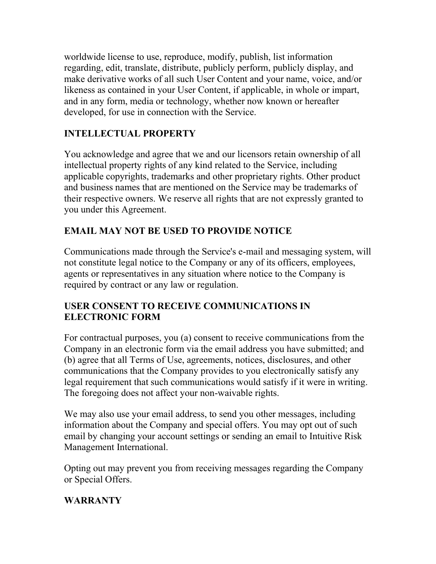worldwide license to use, reproduce, modify, publish, list information regarding, edit, translate, distribute, publicly perform, publicly display, and make derivative works of all such User Content and your name, voice, and/or likeness as contained in your User Content, if applicable, in whole or impart, and in any form, media or technology, whether now known or hereafter developed, for use in connection with the Service.

## **INTELLECTUAL PROPERTY**

You acknowledge and agree that we and our licensors retain ownership of all intellectual property rights of any kind related to the Service, including applicable copyrights, trademarks and other proprietary rights. Other product and business names that are mentioned on the Service may be trademarks of their respective owners. We reserve all rights that are not expressly granted to you under this Agreement.

## **EMAIL MAY NOT BE USED TO PROVIDE NOTICE**

Communications made through the Service's e-mail and messaging system, will not constitute legal notice to the Company or any of its officers, employees, agents or representatives in any situation where notice to the Company is required by contract or any law or regulation.

#### **USER CONSENT TO RECEIVE COMMUNICATIONS IN ELECTRONIC FORM**

For contractual purposes, you (a) consent to receive communications from the Company in an electronic form via the email address you have submitted; and (b) agree that all Terms of Use, agreements, notices, disclosures, and other communications that the Company provides to you electronically satisfy any legal requirement that such communications would satisfy if it were in writing. The foregoing does not affect your non-waivable rights.

We may also use your email address, to send you other messages, including information about the Company and special offers. You may opt out of such email by changing your account settings or sending an email to Intuitive Risk Management International.

Opting out may prevent you from receiving messages regarding the Company or Special Offers.

### **WARRANTY**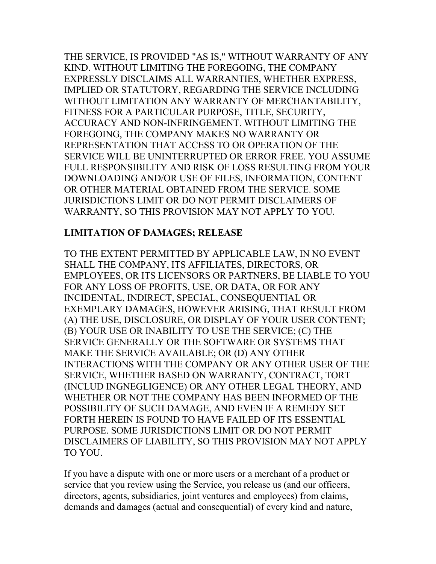THE SERVICE, IS PROVIDED "AS IS," WITHOUT WARRANTY OF ANY KIND. WITHOUT LIMITING THE FOREGOING, THE COMPANY EXPRESSLY DISCLAIMS ALL WARRANTIES, WHETHER EXPRESS, IMPLIED OR STATUTORY, REGARDING THE SERVICE INCLUDING WITHOUT LIMITATION ANY WARRANTY OF MERCHANTABILITY, FITNESS FOR A PARTICULAR PURPOSE, TITLE, SECURITY, ACCURACY AND NON-INFRINGEMENT. WITHOUT LIMITING THE FOREGOING, THE COMPANY MAKES NO WARRANTY OR REPRESENTATION THAT ACCESS TO OR OPERATION OF THE SERVICE WILL BE UNINTERRUPTED OR ERROR FREE. YOU ASSUME FULL RESPONSIBILITY AND RISK OF LOSS RESULTING FROM YOUR DOWNLOADING AND/OR USE OF FILES, INFORMATION, CONTENT OR OTHER MATERIAL OBTAINED FROM THE SERVICE. SOME JURISDICTIONS LIMIT OR DO NOT PERMIT DISCLAIMERS OF WARRANTY, SO THIS PROVISION MAY NOT APPLY TO YOU.

#### **LIMITATION OF DAMAGES; RELEASE**

TO THE EXTENT PERMITTED BY APPLICABLE LAW, IN NO EVENT SHALL THE COMPANY, ITS AFFILIATES, DIRECTORS, OR EMPLOYEES, OR ITS LICENSORS OR PARTNERS, BE LIABLE TO YOU FOR ANY LOSS OF PROFITS, USE, OR DATA, OR FOR ANY INCIDENTAL, INDIRECT, SPECIAL, CONSEQUENTIAL OR EXEMPLARY DAMAGES, HOWEVER ARISING, THAT RESULT FROM (A) THE USE, DISCLOSURE, OR DISPLAY OF YOUR USER CONTENT; (B) YOUR USE OR INABILITY TO USE THE SERVICE; (C) THE SERVICE GENERALLY OR THE SOFTWARE OR SYSTEMS THAT MAKE THE SERVICE AVAILABLE; OR (D) ANY OTHER INTERACTIONS WITH THE COMPANY OR ANY OTHER USER OF THE SERVICE, WHETHER BASED ON WARRANTY, CONTRACT, TORT (INCLUD INGNEGLIGENCE) OR ANY OTHER LEGAL THEORY, AND WHETHER OR NOT THE COMPANY HAS BEEN INFORMED OF THE POSSIBILITY OF SUCH DAMAGE, AND EVEN IF A REMEDY SET FORTH HEREIN IS FOUND TO HAVE FAILED OF ITS ESSENTIAL PURPOSE. SOME JURISDICTIONS LIMIT OR DO NOT PERMIT DISCLAIMERS OF LIABILITY, SO THIS PROVISION MAY NOT APPLY TO YOU.

If you have a dispute with one or more users or a merchant of a product or service that you review using the Service, you release us (and our officers, directors, agents, subsidiaries, joint ventures and employees) from claims, demands and damages (actual and consequential) of every kind and nature,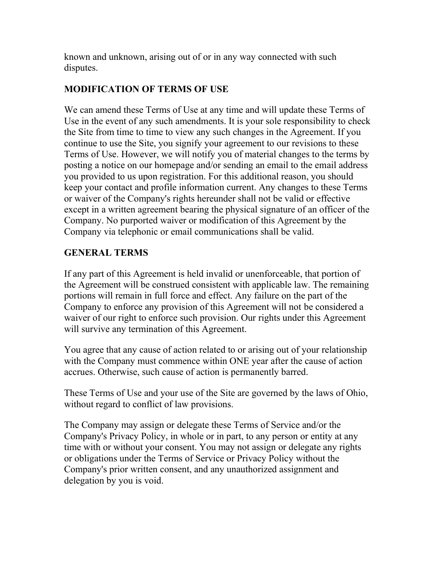known and unknown, arising out of or in any way connected with such disputes.

# **MODIFICATION OF TERMS OF USE**

We can amend these Terms of Use at any time and will update these Terms of Use in the event of any such amendments. It is your sole responsibility to check the Site from time to time to view any such changes in the Agreement. If you continue to use the Site, you signify your agreement to our revisions to these Terms of Use. However, we will notify you of material changes to the terms by posting a notice on our homepage and/or sending an email to the email address you provided to us upon registration. For this additional reason, you should keep your contact and profile information current. Any changes to these Terms or waiver of the Company's rights hereunder shall not be valid or effective except in a written agreement bearing the physical signature of an officer of the Company. No purported waiver or modification of this Agreement by the Company via telephonic or email communications shall be valid.

### **GENERAL TERMS**

If any part of this Agreement is held invalid or unenforceable, that portion of the Agreement will be construed consistent with applicable law. The remaining portions will remain in full force and effect. Any failure on the part of the Company to enforce any provision of this Agreement will not be considered a waiver of our right to enforce such provision. Our rights under this Agreement will survive any termination of this Agreement.

You agree that any cause of action related to or arising out of your relationship with the Company must commence within ONE year after the cause of action accrues. Otherwise, such cause of action is permanently barred.

These Terms of Use and your use of the Site are governed by the laws of Ohio, without regard to conflict of law provisions.

The Company may assign or delegate these Terms of Service and/or the Company's Privacy Policy, in whole or in part, to any person or entity at any time with or without your consent. You may not assign or delegate any rights or obligations under the Terms of Service or Privacy Policy without the Company's prior written consent, and any unauthorized assignment and delegation by you is void.